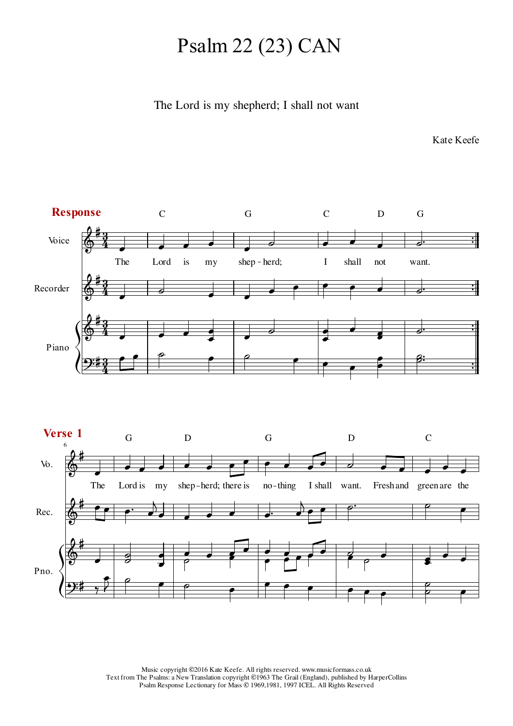## Psalm 22 (23) CAN

## The Lord is my shepherd; I shall not want

Kate Keefe

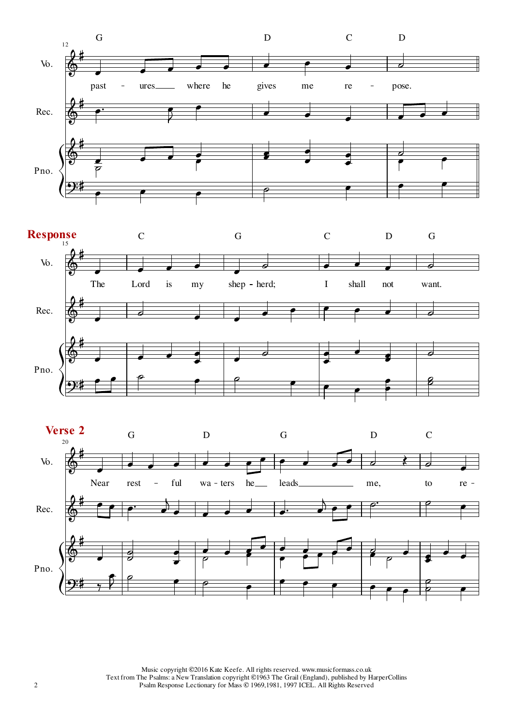



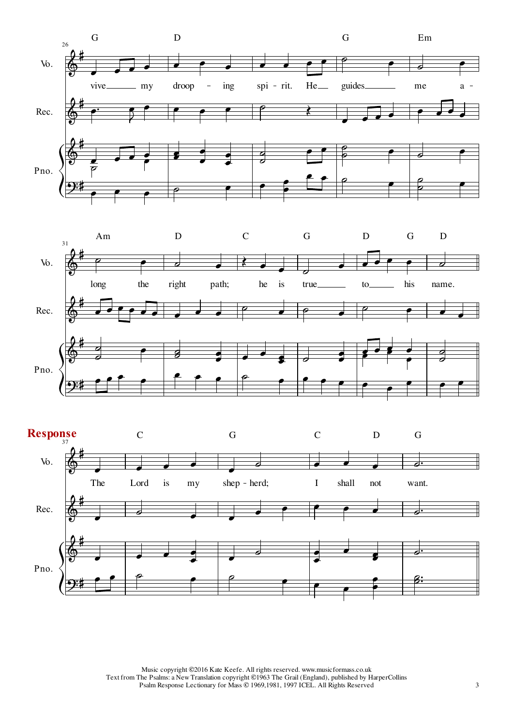



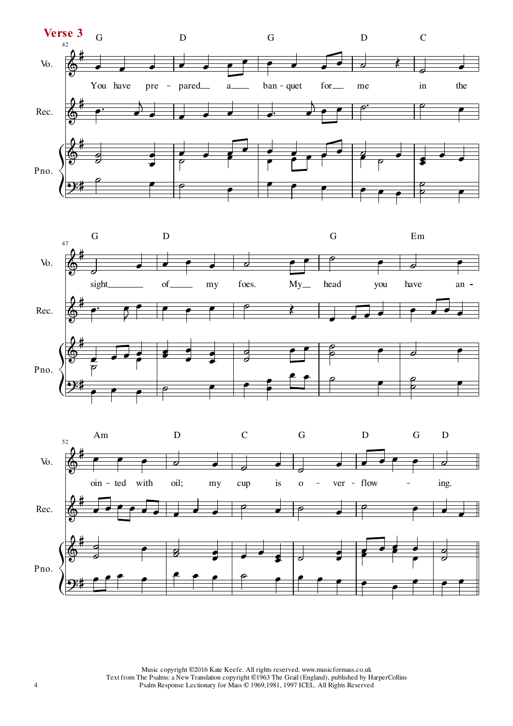



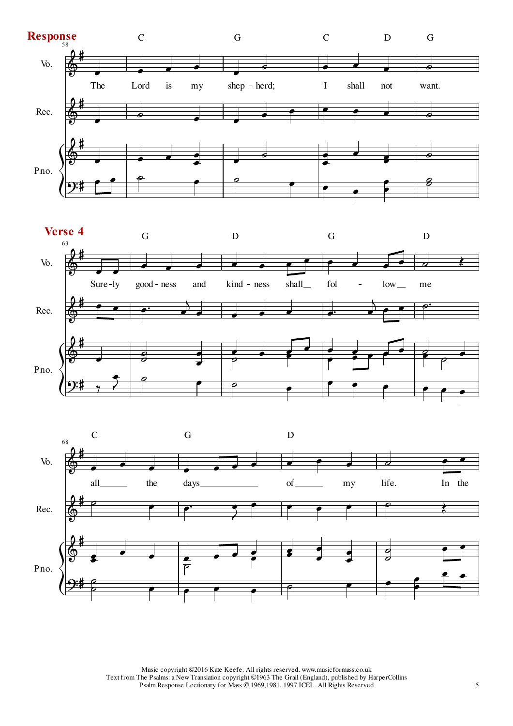